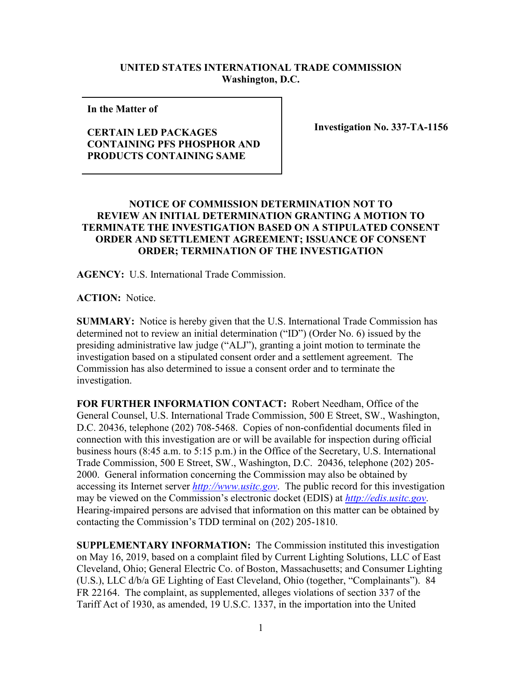## **UNITED STATES INTERNATIONAL TRADE COMMISSION Washington, D.C.**

**In the Matter of** 

## **CERTAIN LED PACKAGES CONTAINING PFS PHOSPHOR AND PRODUCTS CONTAINING SAME**

**Investigation No. 337-TA-1156**

## **NOTICE OF COMMISSION DETERMINATION NOT TO REVIEW AN INITIAL DETERMINATION GRANTING A MOTION TO TERMINATE THE INVESTIGATION BASED ON A STIPULATED CONSENT ORDER AND SETTLEMENT AGREEMENT; ISSUANCE OF CONSENT ORDER; TERMINATION OF THE INVESTIGATION**

**AGENCY:** U.S. International Trade Commission.

**ACTION:** Notice.

**SUMMARY:** Notice is hereby given that the U.S. International Trade Commission has determined not to review an initial determination ("ID") (Order No. 6) issued by the presiding administrative law judge ("ALJ"), granting a joint motion to terminate the investigation based on a stipulated consent order and a settlement agreement. The Commission has also determined to issue a consent order and to terminate the investigation.

**FOR FURTHER INFORMATION CONTACT:** Robert Needham, Office of the General Counsel, U.S. International Trade Commission, 500 E Street, SW., Washington, D.C. 20436, telephone (202) 708-5468. Copies of non-confidential documents filed in connection with this investigation are or will be available for inspection during official business hours (8:45 a.m. to 5:15 p.m.) in the Office of the Secretary, U.S. International Trade Commission, 500 E Street, SW., Washington, D.C. 20436, telephone (202) 205- 2000. General information concerning the Commission may also be obtained by accessing its Internet server *[http://www.usitc.gov](http://www.usitc.gov/)*. The public record for this investigation may be viewed on the Commission's electronic docket (EDIS) at *[http://edis.usitc.gov](http://edis.usitc.gov/)*. Hearing-impaired persons are advised that information on this matter can be obtained by contacting the Commission's TDD terminal on (202) 205-1810.

**SUPPLEMENTARY INFORMATION:** The Commission instituted this investigation on May 16, 2019, based on a complaint filed by Current Lighting Solutions, LLC of East Cleveland, Ohio; General Electric Co. of Boston, Massachusetts; and Consumer Lighting (U.S.), LLC d/b/a GE Lighting of East Cleveland, Ohio (together, "Complainants"). 84 FR 22164. The complaint, as supplemented, alleges violations of section 337 of the Tariff Act of 1930, as amended, 19 U.S.C. 1337, in the importation into the United